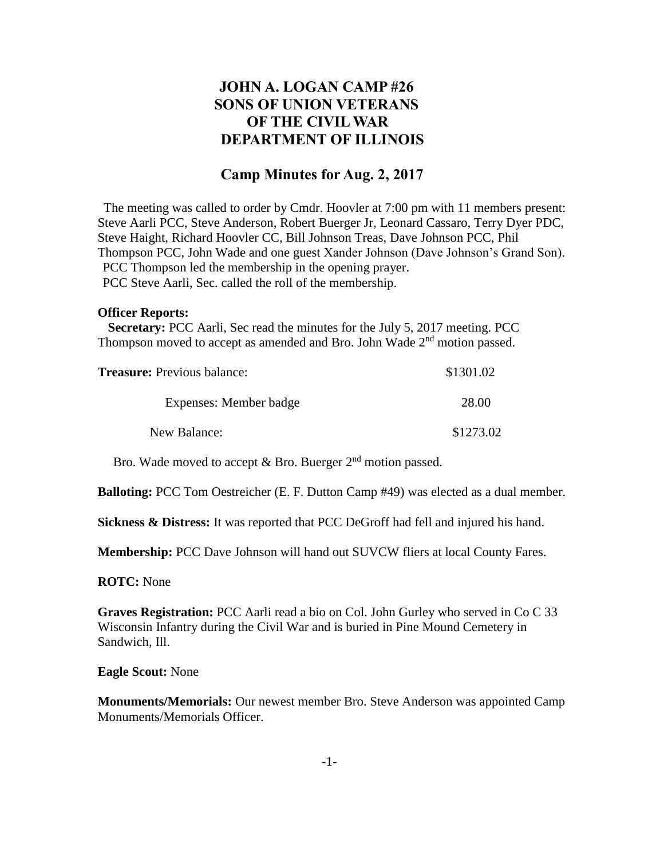# **JOHN A. LOGAN CAMP #26 SONS OF UNION VETERANS OF THE CIVIL WAR DEPARTMENT OF ILLINOIS**

## **Camp Minutes for Aug. 2, 2017**

The meeting was called to order by Cmdr. Hoovler at 7:00 pm with 11 members present: Steve Aarli PCC, Steve Anderson, Robert Buerger Jr, Leonard Cassaro, Terry Dyer PDC, Steve Haight, Richard Hoovler CC, Bill Johnson Treas, Dave Johnson PCC, Phil Thompson PCC, John Wade and one guest Xander Johnson (Dave Johnson's Grand Son). PCC Thompson led the membership in the opening prayer. PCC Steve Aarli, Sec. called the roll of the membership.

#### **Officer Reports:**

 **Secretary:** PCC Aarli, Sec read the minutes for the July 5, 2017 meeting. PCC Thompson moved to accept as amended and Bro. John Wade 2<sup>nd</sup> motion passed.

| <b>Treasure:</b> Previous balance: | \$1301.02 |
|------------------------------------|-----------|
| Expenses: Member badge             | 28.00     |
| New Balance:                       | \$1273.02 |

Bro. Wade moved to accept  $&$  Bro. Buerger  $2<sup>nd</sup>$  motion passed.

**Balloting:** PCC Tom Oestreicher (E. F. Dutton Camp #49) was elected as a dual member.

**Sickness & Distress:** It was reported that PCC DeGroff had fell and injured his hand.

**Membership:** PCC Dave Johnson will hand out SUVCW fliers at local County Fares.

**ROTC:** None

**Graves Registration:** PCC Aarli read a bio on Col. John Gurley who served in Co C 33 Wisconsin Infantry during the Civil War and is buried in Pine Mound Cemetery in Sandwich, Ill.

#### **Eagle Scout:** None

**Monuments/Memorials:** Our newest member Bro. Steve Anderson was appointed Camp Monuments/Memorials Officer.